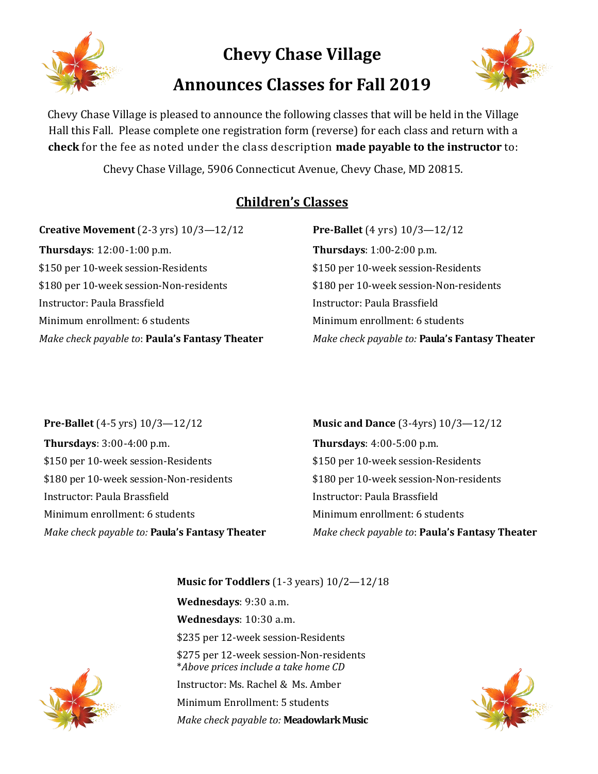

**Chevy Chase Village**

## **Announces Classes for Fall 2019**



Chevy Chase Village is pleased to announce the following classes that will be held in the Village Hall this Fall. Please complete one registration form (reverse) for each class and return with a **check** for the fee as noted under the class description **made payable to the instructor** to:

Chevy Chase Village, 5906 Connecticut Avenue, Chevy Chase, MD 20815.

## **Children's Classes**

**Creative Movement** (2-3 yrs) 10/3—12/12 **Thursdays**: 12:00-1:00 p.m. \$150 per 10-week session-Residents \$180 per 10-week session-Non-residents Instructor: Paula Brassfield Minimum enrollment: 6 students *Make check payable to*: **Paula's Fantasy Theater** 

## **Pre-Ballet** (4 yrs) 10/3—12/12 **Thursdays**: 1:00-2:00 p.m. \$150 per 10-week session-Residents \$180 per 10-week session-Non-residents Instructor: Paula Brassfield Minimum enrollment: 6 students *Make check payable to:* **Paula's Fantasy Theater**

**Pre-Ballet** (4-5 yrs) 10/3—12/12 **Thursdays**: 3:00-4:00 p.m. \$150 per 10-week session-Residents \$180 per 10-week session-Non-residents Instructor: Paula Brassfield Minimum enrollment: 6 students *Make check payable to:* **Paula's Fantasy Theater** **Music and Dance** (3-4yrs) 10/3—12/12 **Thursdays**: 4:00-5:00 p.m. \$150 per 10-week session-Residents \$180 per 10-week session-Non-residents Instructor: Paula Brassfield Minimum enrollment: 6 students *Make check payable to*: **Paula's Fantasy Theater** 

**Music for Toddlers** (1-3 years) 10/2—12/18 **Wednesdays**: 9:30 a.m. **Wednesdays**: 10:30 a.m. \$235 per 12-week session-Residents \$275 per 12-week session-Non-residents \**Above prices include a take home CD*

Instructor: Ms. Rachel & Ms. Amber Minimum Enrollment: 5 students *Make check payable to:* **Meadowlark Music**